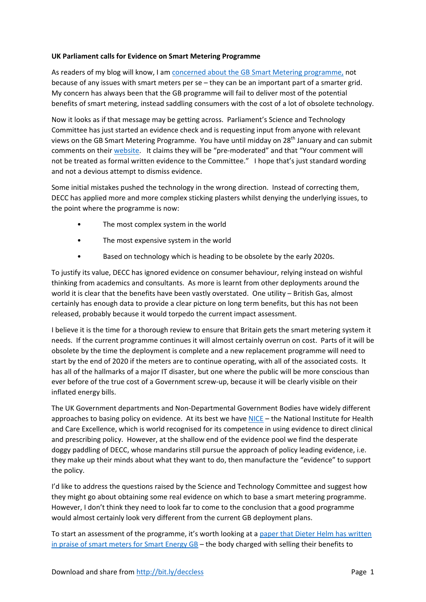## **UK Parliament calls for Evidence on Smart Metering Programme**

As readers of my blog will know, I am concerned about the GB Smart Metering programme, not because of any issues with smart meters per se – they can be an important part of a smarter grid. My concern has always been that the GB programme will fail to deliver most of the potential benefits of smart metering, instead saddling consumers with the cost of a lot of obsolete technology.

Now it looks as if that message may be getting across. Parliament's Science and Technology Committee has just started an evidence check and is requesting input from anyone with relevant views on the GB Smart Metering Programme. You have until midday on 28th January and can submit comments on their website. It claims they will be "pre-moderated" and that "Your comment will not be treated as formal written evidence to the Committee." I hope that's just standard wording and not a devious attempt to dismiss evidence.

Some initial mistakes pushed the technology in the wrong direction. Instead of correcting them, DECC has applied more and more complex sticking plasters whilst denying the underlying issues, to the point where the programme is now:

- The most complex system in the world
- The most expensive system in the world
- Based on technology which is heading to be obsolete by the early 2020s.

To justify its value, DECC has ignored evidence on consumer behaviour, relying instead on wishful thinking from academics and consultants. As more is learnt from other deployments around the world it is clear that the benefits have been vastly overstated. One utility – British Gas, almost certainly has enough data to provide a clear picture on long term benefits, but this has not been released, probably because it would torpedo the current impact assessment.

I believe it is the time for a thorough review to ensure that Britain gets the smart metering system it needs. If the current programme continues it will almost certainly overrun on cost. Parts of it will be obsolete by the time the deployment is complete and a new replacement programme will need to start by the end of 2020 if the meters are to continue operating, with all of the associated costs. It has all of the hallmarks of a major IT disaster, but one where the public will be more conscious than ever before of the true cost of a Government screw-up, because it will be clearly visible on their inflated energy bills.

The UK Government departments and Non‐Departmental Government Bodies have widely different approaches to basing policy on evidence. At its best we have NICE – the National Institute for Health and Care Excellence, which is world recognised for its competence in using evidence to direct clinical and prescribing policy. However, at the shallow end of the evidence pool we find the desperate doggy paddling of DECC, whose mandarins still pursue the approach of policy leading evidence, i.e. they make up their minds about what they want to do, then manufacture the "evidence" to support the policy.

I'd like to address the questions raised by the Science and Technology Committee and suggest how they might go about obtaining some real evidence on which to base a smart metering programme. However, I don't think they need to look far to come to the conclusion that a good programme would almost certainly look very different from the current GB deployment plans.

To start an assessment of the programme, it's worth looking at a paper that Dieter Helm has written in praise of smart meters for Smart Energy GB – the body charged with selling their benefits to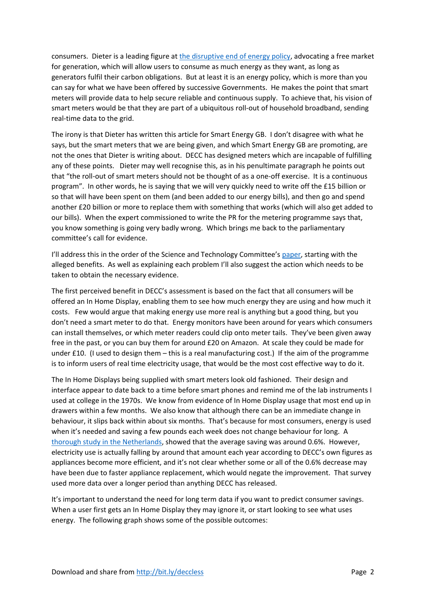consumers. Dieter is a leading figure at the disruptive end of energy policy, advocating a free market for generation, which will allow users to consume as much energy as they want, as long as generators fulfil their carbon obligations. But at least it is an energy policy, which is more than you can say for what we have been offered by successive Governments. He makes the point that smart meters will provide data to help secure reliable and continuous supply. To achieve that, his vision of smart meters would be that they are part of a ubiquitous roll-out of household broadband, sending real‐time data to the grid.

The irony is that Dieter has written this article for Smart Energy GB. I don't disagree with what he says, but the smart meters that we are being given, and which Smart Energy GB are promoting, are not the ones that Dieter is writing about. DECC has designed meters which are incapable of fulfilling any of these points. Dieter may well recognise this, as in his penultimate paragraph he points out that "the roll-out of smart meters should not be thought of as a one-off exercise. It is a continuous program". In other words, he is saying that we will very quickly need to write off the £15 billion or so that will have been spent on them (and been added to our energy bills), and then go and spend another £20 billion or more to replace them with something that works (which will also get added to our bills). When the expert commissioned to write the PR for the metering programme says that, you know something is going very badly wrong. Which brings me back to the parliamentary committee's call for evidence.

I'll address this in the order of the Science and Technology Committee's paper, starting with the alleged benefits. As well as explaining each problem I'll also suggest the action which needs to be taken to obtain the necessary evidence.

The first perceived benefit in DECC's assessment is based on the fact that all consumers will be offered an In Home Display, enabling them to see how much energy they are using and how much it costs. Few would argue that making energy use more real is anything but a good thing, but you don't need a smart meter to do that. Energy monitors have been around for years which consumers can install themselves, or which meter readers could clip onto meter tails. They've been given away free in the past, or you can buy them for around £20 on Amazon. At scale they could be made for under £10. (I used to design them – this is a real manufacturing cost.) If the aim of the programme is to inform users of real time electricity usage, that would be the most cost effective way to do it.

The In Home Displays being supplied with smart meters look old fashioned. Their design and interface appear to date back to a time before smart phones and remind me of the lab instruments I used at college in the 1970s. We know from evidence of In Home Display usage that most end up in drawers within a few months. We also know that although there can be an immediate change in behaviour, it slips back within about six months. That's because for most consumers, energy is used when it's needed and saving a few pounds each week does not change behaviour for long. A thorough study in the Netherlands, showed that the average saving was around 0.6%. However, electricity use is actually falling by around that amount each year according to DECC's own figures as appliances become more efficient, and it's not clear whether some or all of the 0.6% decrease may have been due to faster appliance replacement, which would negate the improvement. That survey used more data over a longer period than anything DECC has released.

It's important to understand the need for long term data if you want to predict consumer savings. When a user first gets an In Home Display they may ignore it, or start looking to see what uses energy. The following graph shows some of the possible outcomes: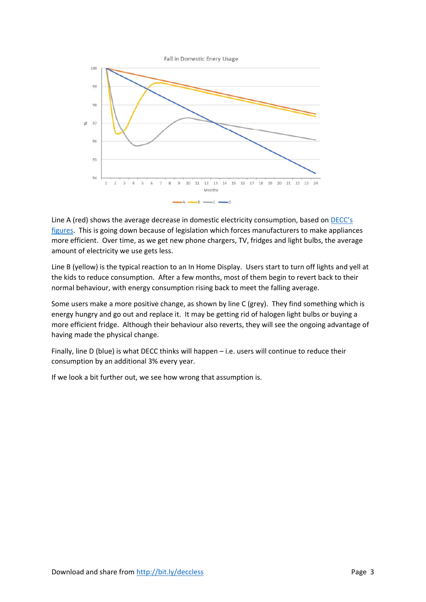

Line A (red) shows the average decrease in domestic electricity consumption, based on **DECC's** figures. This is going down because of legislation which forces manufacturers to make appliances more efficient. Over time, as we get new phone chargers, TV, fridges and light bulbs, the average amount of electricity we use gets less.

Line B (yellow) is the typical reaction to an In Home Display. Users start to turn off lights and yell at the kids to reduce consumption. After a few months, most of them begin to revert back to their normal behaviour, with energy consumption rising back to meet the falling average.

Some users make a more positive change, as shown by line C (grey). They find something which is energy hungry and go out and replace it. It may be getting rid of halogen light bulbs or buying a more efficient fridge. Although their behaviour also reverts, they will see the ongoing advantage of having made the physical change.

Finally, line D (blue) is what DECC thinks will happen – i.e. users will continue to reduce their consumption by an additional 3% every year.

If we look a bit further out, we see how wrong that assumption is.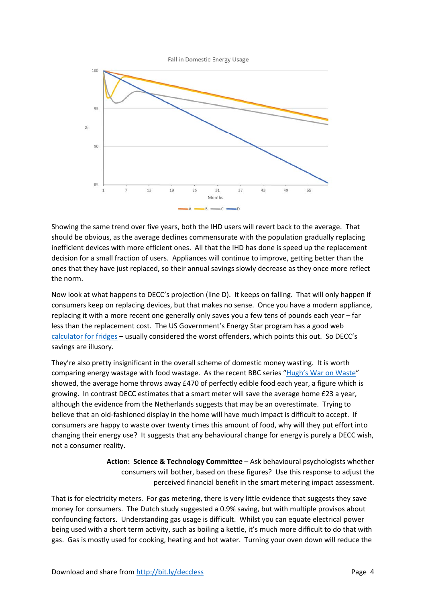Fall in Domestic Energy Usage



Showing the same trend over five years, both the IHD users will revert back to the average. That should be obvious, as the average declines commensurate with the population gradually replacing inefficient devices with more efficient ones. All that the IHD has done is speed up the replacement decision for a small fraction of users. Appliances will continue to improve, getting better than the ones that they have just replaced, so their annual savings slowly decrease as they once more reflect the norm.

Now look at what happens to DECC's projection (line D). It keeps on falling. That will only happen if consumers keep on replacing devices, but that makes no sense. Once you have a modern appliance, replacing it with a more recent one generally only saves you a few tens of pounds each year – far less than the replacement cost. The US Government's Energy Star program has a good web calculator for fridges – usually considered the worst offenders, which points this out. So DECC's savings are illusory.

They're also pretty insignificant in the overall scheme of domestic money wasting. It is worth comparing energy wastage with food wastage. As the recent BBC series "Hugh's War on Waste" showed, the average home throws away £470 of perfectly edible food each year, a figure which is growing. In contrast DECC estimates that a smart meter will save the average home £23 a year, although the evidence from the Netherlands suggests that may be an overestimate. Trying to believe that an old-fashioned display in the home will have much impact is difficult to accept. If consumers are happy to waste over twenty times this amount of food, why will they put effort into changing their energy use? It suggests that any behavioural change for energy is purely a DECC wish, not a consumer reality.

> **Action: Science & Technology Committee** – Ask behavioural psychologists whether consumers will bother, based on these figures? Use this response to adjust the perceived financial benefit in the smart metering impact assessment.

That is for electricity meters. For gas metering, there is very little evidence that suggests they save money for consumers. The Dutch study suggested a 0.9% saving, but with multiple provisos about confounding factors. Understanding gas usage is difficult. Whilst you can equate electrical power being used with a short term activity, such as boiling a kettle, it's much more difficult to do that with gas. Gas is mostly used for cooking, heating and hot water. Turning your oven down will reduce the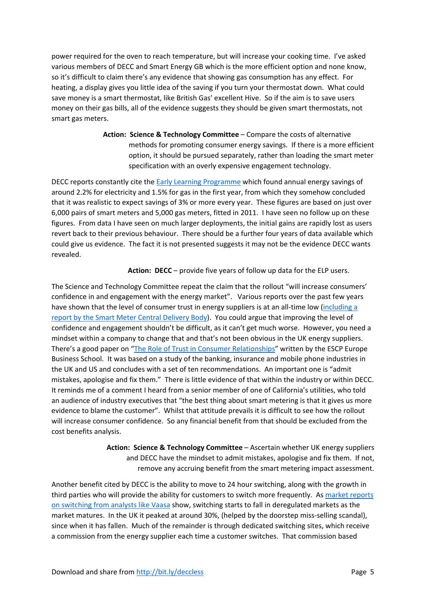power required for the oven to reach temperature, but will increase your cooking time. I've asked various members of DECC and Smart Energy GB which is the more efficient option and none know, so it's difficult to claim there's any evidence that showing gas consumption has any effect. For heating, a display gives you little idea of the saving if you turn your thermostat down. What could save money is a smart thermostat, like British Gas' excellent Hive. So if the aim is to save users money on their gas bills, all of the evidence suggests they should be given smart thermostats, not smart gas meters.

> **Action: Science & Technology Committee** – Compare the costs of alternative methods for promoting consumer energy savings. If there is a more efficient option, it should be pursued separately, rather than loading the smart meter specification with an overly expensive engagement technology.

DECC reports constantly cite the **Early Learning Programme** which found annual energy savings of around 2.2% for electricity and 1.5% for gas in the first year, from which they somehow concluded that it was realistic to expect savings of 3% or more every year. These figures are based on just over 6,000 pairs of smart meters and 5,000 gas meters, fitted in 2011. I have seen no follow up on these figures. From data I have seen on much larger deployments, the initial gains are rapidly lost as users revert back to their previous behaviour. There should be a further four years of data available which could give us evidence. The fact it is not presented suggests it may not be the evidence DECC wants revealed.

Action: DECC – provide five years of follow up data for the ELP users.

The Science and Technology Committee repeat the claim that the rollout "will increase consumers' confidence in and engagement with the energy market". Various reports over the past few years have shown that the level of consumer trust in energy suppliers is at an all-time low (including a report by the Smart Meter Central Delivery Body). You could argue that improving the level of confidence and engagement shouldn't be difficult, as it can't get much worse. However, you need a mindset within a company to change that and that's not been obvious in the UK energy suppliers. There's a good paper on "The Role of Trust in Consumer Relationships" written by the ESCP Europe Business School. It was based on a study of the banking, insurance and mobile phone industries in the UK and US and concludes with a set of ten recommendations. An important one is "admit mistakes, apologise and fix them." There is little evidence of that within the industry or within DECC. It reminds me of a comment I heard from a senior member of one of California's utilities, who told an audience of industry executives that "the best thing about smart metering is that it gives us more evidence to blame the customer". Whilst that attitude prevails it is difficult to see how the rollout will increase consumer confidence. So any financial benefit from that should be excluded from the cost benefits analysis.

> **Action: Science & Technology Committee** – Ascertain whether UK energy suppliers and DECC have the mindset to admit mistakes, apologise and fix them. If not, remove any accruing benefit from the smart metering impact assessment.

Another benefit cited by DECC is the ability to move to 24 hour switching, along with the growth in third parties who will provide the ability for customers to switch more frequently. As market reports on switching from analysts like Vaasa show, switching starts to fall in deregulated markets as the market matures. In the UK it peaked at around 30%, (helped by the doorstep miss-selling scandal), since when it has fallen. Much of the remainder is through dedicated switching sites, which receive a commission from the energy supplier each time a customer switches. That commission based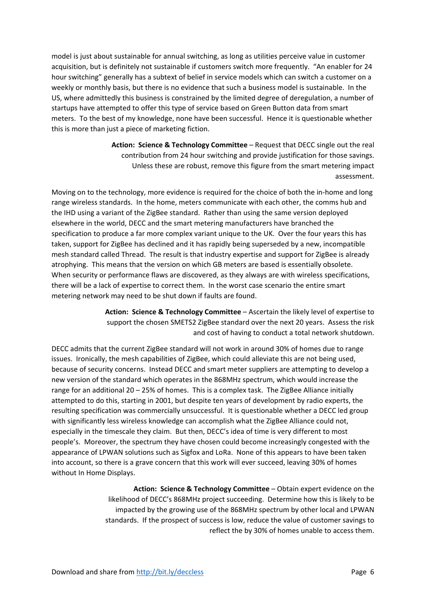model is just about sustainable for annual switching, as long as utilities perceive value in customer acquisition, but is definitely not sustainable if customers switch more frequently. "An enabler for 24 hour switching" generally has a subtext of belief in service models which can switch a customer on a weekly or monthly basis, but there is no evidence that such a business model is sustainable. In the US, where admittedly this business is constrained by the limited degree of deregulation, a number of startups have attempted to offer this type of service based on Green Button data from smart meters. To the best of my knowledge, none have been successful. Hence it is questionable whether this is more than just a piece of marketing fiction.

> **Action: Science & Technology Committee** – Request that DECC single out the real contribution from 24 hour switching and provide justification for those savings. Unless these are robust, remove this figure from the smart metering impact assessment.

Moving on to the technology, more evidence is required for the choice of both the in‐home and long range wireless standards. In the home, meters communicate with each other, the comms hub and the IHD using a variant of the ZigBee standard. Rather than using the same version deployed elsewhere in the world, DECC and the smart metering manufacturers have branched the specification to produce a far more complex variant unique to the UK. Over the four years this has taken, support for ZigBee has declined and it has rapidly being superseded by a new, incompatible mesh standard called Thread. The result is that industry expertise and support for ZigBee is already atrophying. This means that the version on which GB meters are based is essentially obsolete. When security or performance flaws are discovered, as they always are with wireless specifications, there will be a lack of expertise to correct them. In the worst case scenario the entire smart metering network may need to be shut down if faults are found.

> **Action: Science & Technology Committee** – Ascertain the likely level of expertise to support the chosen SMETS2 ZigBee standard over the next 20 years. Assess the risk and cost of having to conduct a total network shutdown.

DECC admits that the current ZigBee standard will not work in around 30% of homes due to range issues. Ironically, the mesh capabilities of ZigBee, which could alleviate this are not being used, because of security concerns. Instead DECC and smart meter suppliers are attempting to develop a new version of the standard which operates in the 868MHz spectrum, which would increase the range for an additional 20 – 25% of homes. This is a complex task. The ZigBee Alliance initially attempted to do this, starting in 2001, but despite ten years of development by radio experts, the resulting specification was commercially unsuccessful. It is questionable whether a DECC led group with significantly less wireless knowledge can accomplish what the ZigBee Alliance could not, especially in the timescale they claim. But then, DECC's idea of time is very different to most people's. Moreover, the spectrum they have chosen could become increasingly congested with the appearance of LPWAN solutions such as Sigfox and LoRa. None of this appears to have been taken into account, so there is a grave concern that this work will ever succeed, leaving 30% of homes without In Home Displays.

> **Action: Science & Technology Committee** – Obtain expert evidence on the likelihood of DECC's 868MHz project succeeding. Determine how this is likely to be impacted by the growing use of the 868MHz spectrum by other local and LPWAN standards. If the prospect of success is low, reduce the value of customer savings to reflect the by 30% of homes unable to access them.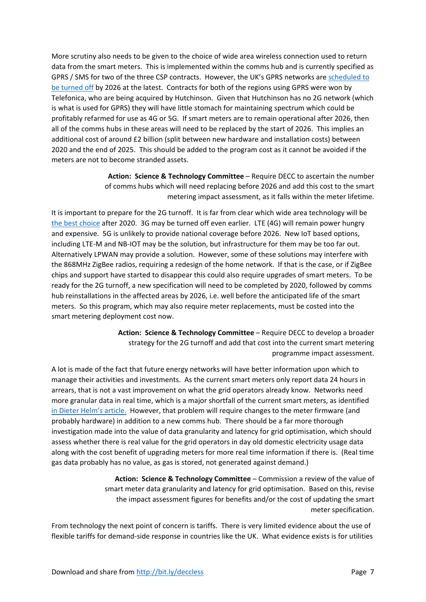More scrutiny also needs to be given to the choice of wide area wireless connection used to return data from the smart meters. This is implemented within the comms hub and is currently specified as GPRS / SMS for two of the three CSP contracts. However, the UK's GPRS networks are scheduled to be turned off by 2026 at the latest. Contracts for both of the regions using GPRS were won by Telefonica, who are being acquired by Hutchinson. Given that Hutchinson has no 2G network (which is what is used for GPRS) they will have little stomach for maintaining spectrum which could be profitably refarmed for use as 4G or 5G. If smart meters are to remain operational after 2026, then all of the comms hubs in these areas will need to be replaced by the start of 2026. This implies an additional cost of around £2 billion (split between new hardware and installation costs) between 2020 and the end of 2025. This should be added to the program cost as it cannot be avoided if the meters are not to become stranded assets.

> **Action: Science & Technology Committee** – Require DECC to ascertain the number of comms hubs which will need replacing before 2026 and add this cost to the smart metering impact assessment, as it falls within the meter lifetime.

It is important to prepare for the 2G turnoff. It is far from clear which wide area technology will be the best choice after 2020. 3G may be turned off even earlier. LTE (4G) will remain power hungry and expensive. 5G is unlikely to provide national coverage before 2026. New IoT based options, including LTE‐M and NB‐IOT may be the solution, but infrastructure for them may be too far out. Alternatively LPWAN may provide a solution. However, some of these solutions may interfere with the 868MHz ZigBee radios, requiring a redesign of the home network. If that is the case, or if ZigBee chips and support have started to disappear this could also require upgrades of smart meters. To be ready for the 2G turnoff, a new specification will need to be completed by 2020, followed by comms hub reinstallations in the affected areas by 2026, i.e. well before the anticipated life of the smart meters. So this program, which may also require meter replacements, must be costed into the smart metering deployment cost now.

> **Action: Science & Technology Committee** – Require DECC to develop a broader strategy for the 2G turnoff and add that cost into the current smart metering programme impact assessment.

A lot is made of the fact that future energy networks will have better information upon which to manage their activities and investments. As the current smart meters only report data 24 hours in arrears, that is not a vast improvement on what the grid operators already know. Networks need more granular data in real time, which is a major shortfall of the current smart meters, as identified in Dieter Helm's article. However, that problem will require changes to the meter firmware (and probably hardware) in addition to a new comms hub. There should be a far more thorough investigation made into the value of data granularity and latency for grid optimisation, which should assess whether there is real value for the grid operators in day old domestic electricity usage data along with the cost benefit of upgrading meters for more real time information if there is. (Real time gas data probably has no value, as gas is stored, not generated against demand.)

> **Action: Science & Technology Committee** – Commission a review of the value of smart meter data granularity and latency for grid optimisation. Based on this, revise the impact assessment figures for benefits and/or the cost of updating the smart meter specification.

From technology the next point of concern is tariffs. There is very limited evidence about the use of flexible tariffs for demand-side response in countries like the UK. What evidence exists is for utilities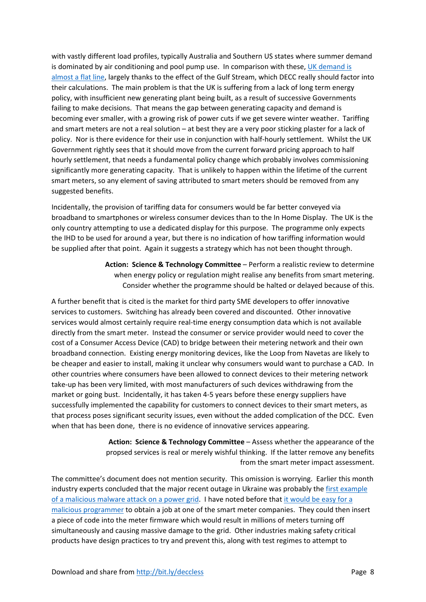with vastly different load profiles, typically Australia and Southern US states where summer demand is dominated by air conditioning and pool pump use. In comparison with these, UK demand is almost a flat line, largely thanks to the effect of the Gulf Stream, which DECC really should factor into their calculations. The main problem is that the UK is suffering from a lack of long term energy policy, with insufficient new generating plant being built, as a result of successive Governments failing to make decisions. That means the gap between generating capacity and demand is becoming ever smaller, with a growing risk of power cuts if we get severe winter weather. Tariffing and smart meters are not a real solution – at best they are a very poor sticking plaster for a lack of policy. Nor is there evidence for their use in conjunction with half-hourly settlement. Whilst the UK Government rightly sees that it should move from the current forward pricing approach to half hourly settlement, that needs a fundamental policy change which probably involves commissioning significantly more generating capacity. That is unlikely to happen within the lifetime of the current smart meters, so any element of saving attributed to smart meters should be removed from any suggested benefits.

Incidentally, the provision of tariffing data for consumers would be far better conveyed via broadband to smartphones or wireless consumer devices than to the In Home Display. The UK is the only country attempting to use a dedicated display for this purpose. The programme only expects the IHD to be used for around a year, but there is no indication of how tariffing information would be supplied after that point. Again it suggests a strategy which has not been thought through.

> **Action: Science & Technology Committee** – Perform a realistic review to determine when energy policy or regulation might realise any benefits from smart metering. Consider whether the programme should be halted or delayed because of this.

A further benefit that is cited is the market for third party SME developers to offer innovative services to customers. Switching has already been covered and discounted. Other innovative services would almost certainly require real‐time energy consumption data which is not available directly from the smart meter. Instead the consumer or service provider would need to cover the cost of a Consumer Access Device (CAD) to bridge between their metering network and their own broadband connection. Existing energy monitoring devices, like the Loop from Navetas are likely to be cheaper and easier to install, making it unclear why consumers would want to purchase a CAD. In other countries where consumers have been allowed to connect devices to their metering network take-up has been very limited, with most manufacturers of such devices withdrawing from the market or going bust. Incidentally, it has taken 4‐5 years before these energy suppliers have successfully implemented the capability for customers to connect devices to their smart meters, as that process poses significant security issues, even without the added complication of the DCC. Even when that has been done, there is no evidence of innovative services appearing.

> **Action: Science & Technology Committee** – Assess whether the appearance of the propsed services is real or merely wishful thinking. If the latter remove any benefits from the smart meter impact assessment.

The committee's document does not mention security. This omission is worrying. Earlier this month industry experts concluded that the major recent outage in Ukraine was probably the first example of a malicious malware attack on a power grid. I have noted before that it would be easy for a malicious programmer to obtain a job at one of the smart meter companies. They could then insert a piece of code into the meter firmware which would result in millions of meters turning off simultaneously and causing massive damage to the grid. Other industries making safety critical products have design practices to try and prevent this, along with test regimes to attempt to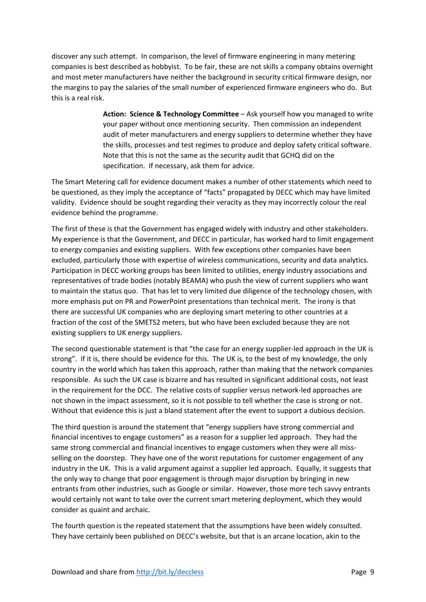discover any such attempt. In comparison, the level of firmware engineering in many metering companies is best described as hobbyist. To be fair, these are not skills a company obtains overnight and most meter manufacturers have neither the background in security critical firmware design, nor the margins to pay the salaries of the small number of experienced firmware engineers who do. But this is a real risk.

> **Action: Science & Technology Committee** – Ask yourself how you managed to write your paper without once mentioning security. Then commission an independent audit of meter manufacturers and energy suppliers to determine whether they have the skills, processes and test regimes to produce and deploy safety critical software. Note that this is not the same as the security audit that GCHQ did on the specification. If necessary, ask them for advice.

The Smart Metering call for evidence document makes a number of other statements which need to be questioned, as they imply the acceptance of "facts" propagated by DECC which may have limited validity. Evidence should be sought regarding their veracity as they may incorrectly colour the real evidence behind the programme.

The first of these is that the Government has engaged widely with industry and other stakeholders. My experience is that the Government, and DECC in particular, has worked hard to limit engagement to energy companies and existing suppliers. With few exceptions other companies have been excluded, particularly those with expertise of wireless communications, security and data analytics. Participation in DECC working groups has been limited to utilities, energy industry associations and representatives of trade bodies (notably BEAMA) who push the view of current suppliers who want to maintain the status quo. That has let to very limited due diligence of the technology chosen, with more emphasis put on PR and PowerPoint presentations than technical merit. The irony is that there are successful UK companies who are deploying smart metering to other countries at a fraction of the cost of the SMETS2 meters, but who have been excluded because they are not existing suppliers to UK energy suppliers.

The second questionable statement is that "the case for an energy supplier‐led approach in the UK is strong". If it is, there should be evidence for this. The UK is, to the best of my knowledge, the only country in the world which has taken this approach, rather than making that the network companies responsible. As such the UK case is bizarre and has resulted in significant additional costs, not least in the requirement for the DCC. The relative costs of supplier versus network‐led approaches are not shown in the impact assessment, so it is not possible to tell whether the case is strong or not. Without that evidence this is just a bland statement after the event to support a dubious decision.

The third question is around the statement that "energy suppliers have strong commercial and financial incentives to engage customers" as a reason for a supplier led approach. They had the same strong commercial and financial incentives to engage customers when they were all missselling on the doorstep. They have one of the worst reputations for customer engagement of any industry in the UK. This is a valid argument against a supplier led approach. Equally, it suggests that the only way to change that poor engagement is through major disruption by bringing in new entrants from other industries, such as Google or similar. However, those more tech savvy entrants would certainly not want to take over the current smart metering deployment, which they would consider as quaint and archaic.

The fourth question is the repeated statement that the assumptions have been widely consulted. They have certainly been published on DECC's website, but that is an arcane location, akin to the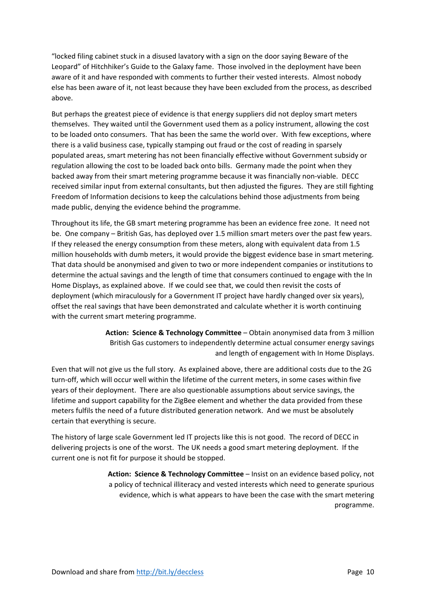"locked filing cabinet stuck in a disused lavatory with a sign on the door saying Beware of the Leopard" of Hitchhiker's Guide to the Galaxy fame. Those involved in the deployment have been aware of it and have responded with comments to further their vested interests. Almost nobody else has been aware of it, not least because they have been excluded from the process, as described above.

But perhaps the greatest piece of evidence is that energy suppliers did not deploy smart meters themselves. They waited until the Government used them as a policy instrument, allowing the cost to be loaded onto consumers. That has been the same the world over. With few exceptions, where there is a valid business case, typically stamping out fraud or the cost of reading in sparsely populated areas, smart metering has not been financially effective without Government subsidy or regulation allowing the cost to be loaded back onto bills. Germany made the point when they backed away from their smart metering programme because it was financially non‐viable. DECC received similar input from external consultants, but then adjusted the figures. They are still fighting Freedom of Information decisions to keep the calculations behind those adjustments from being made public, denying the evidence behind the programme.

Throughout its life, the GB smart metering programme has been an evidence free zone. It need not be. One company – British Gas, has deployed over 1.5 million smart meters over the past few years. If they released the energy consumption from these meters, along with equivalent data from 1.5 million households with dumb meters, it would provide the biggest evidence base in smart metering. That data should be anonymised and given to two or more independent companies or institutions to determine the actual savings and the length of time that consumers continued to engage with the In Home Displays, as explained above. If we could see that, we could then revisit the costs of deployment (which miraculously for a Government IT project have hardly changed over six years), offset the real savings that have been demonstrated and calculate whether it is worth continuing with the current smart metering programme.

> **Action: Science & Technology Committee** – Obtain anonymised data from 3 million British Gas customers to independently determine actual consumer energy savings and length of engagement with In Home Displays.

Even that will not give us the full story. As explained above, there are additional costs due to the 2G turn-off, which will occur well within the lifetime of the current meters, in some cases within five years of their deployment. There are also questionable assumptions about service savings, the lifetime and support capability for the ZigBee element and whether the data provided from these meters fulfils the need of a future distributed generation network. And we must be absolutely certain that everything is secure.

The history of large scale Government led IT projects like this is not good. The record of DECC in delivering projects is one of the worst. The UK needs a good smart metering deployment. If the current one is not fit for purpose it should be stopped.

> **Action: Science & Technology Committee** – Insist on an evidence based policy, not a policy of technical illiteracy and vested interests which need to generate spurious evidence, which is what appears to have been the case with the smart metering programme.